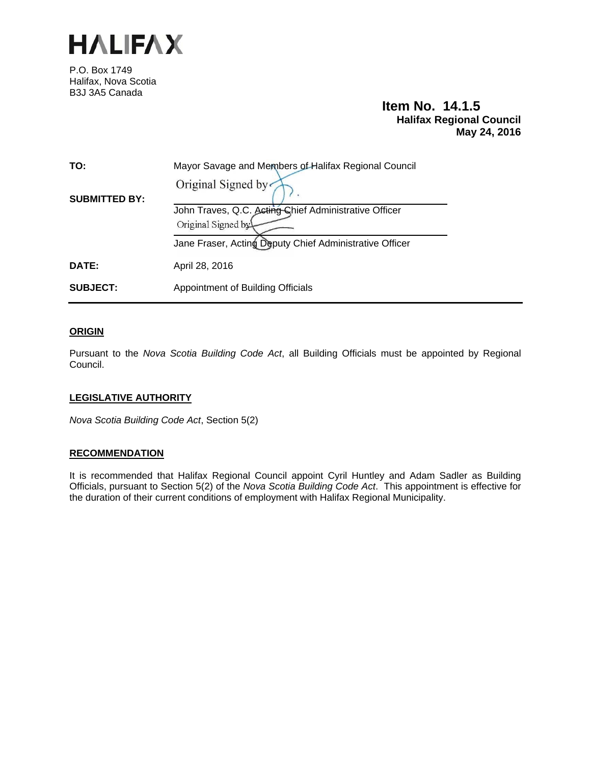

P.O. Box 1749 Halifax, Nova Scotia B3J 3A5 Canada

# **Item No. 14.1.5 Halifax Regional Council May 24, 2016**

| TO:                  | Mayor Savage and Members of Halifax Regional Council                                              |
|----------------------|---------------------------------------------------------------------------------------------------|
| <b>SUBMITTED BY:</b> | Original Signed by<br>John Traves, Q.C. Acting Chief Administrative Officer<br>Original Signed by |
|                      | Jane Fraser, Acting Deputy Chief Administrative Officer                                           |
| DATE:                | April 28, 2016                                                                                    |
| <b>SUBJECT:</b>      | Appointment of Building Officials                                                                 |

## **ORIGIN**

Pursuant to the *Nova Scotia Building Code Act*, all Building Officials must be appointed by Regional Council.

# **LEGISLATIVE AUTHORITY**

*Nova Scotia Building Code Act*, Section 5(2)

#### **RECOMMENDATION**

It is recommended that Halifax Regional Council appoint Cyril Huntley and Adam Sadler as Building Officials, pursuant to Section 5(2) of the *Nova Scotia Building Code Act*. This appointment is effective for the duration of their current conditions of employment with Halifax Regional Municipality.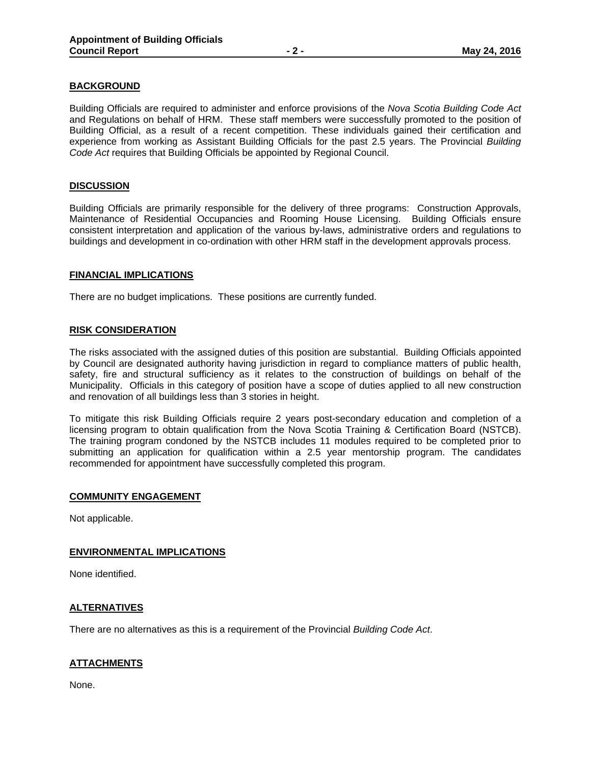## **BACKGROUND**

Building Officials are required to administer and enforce provisions of the *Nova Scotia Building Code Act* and Regulations on behalf of HRM. These staff members were successfully promoted to the position of Building Official, as a result of a recent competition. These individuals gained their certification and experience from working as Assistant Building Officials for the past 2.5 years. The Provincial *Building Code Act* requires that Building Officials be appointed by Regional Council.

## **DISCUSSION**

Building Officials are primarily responsible for the delivery of three programs: Construction Approvals, Maintenance of Residential Occupancies and Rooming House Licensing. Building Officials ensure consistent interpretation and application of the various by-laws, administrative orders and regulations to buildings and development in co-ordination with other HRM staff in the development approvals process.

#### **FINANCIAL IMPLICATIONS**

There are no budget implications. These positions are currently funded.

#### **RISK CONSIDERATION**

The risks associated with the assigned duties of this position are substantial. Building Officials appointed by Council are designated authority having jurisdiction in regard to compliance matters of public health, safety, fire and structural sufficiency as it relates to the construction of buildings on behalf of the Municipality. Officials in this category of position have a scope of duties applied to all new construction and renovation of all buildings less than 3 stories in height.

To mitigate this risk Building Officials require 2 years post-secondary education and completion of a licensing program to obtain qualification from the Nova Scotia Training & Certification Board (NSTCB). The training program condoned by the NSTCB includes 11 modules required to be completed prior to submitting an application for qualification within a 2.5 year mentorship program. The candidates recommended for appointment have successfully completed this program.

#### **COMMUNITY ENGAGEMENT**

Not applicable.

#### **ENVIRONMENTAL IMPLICATIONS**

None identified.

#### **ALTERNATIVES**

There are no alternatives as this is a requirement of the Provincial *Building Code Act*.

# **ATTACHMENTS**

None.